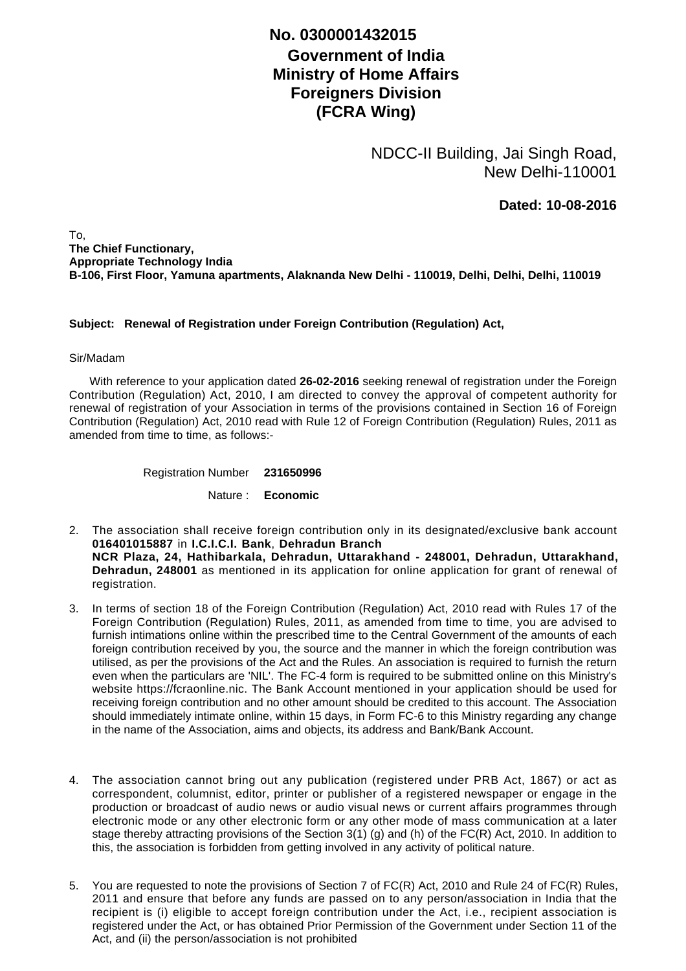## **Government of India Ministry of Home Affairs Foreigners Division (FCRA Wing) No. 0300001432015**

NDCC-II Building, Jai Singh Road, New Delhi-110001

**Dated: 10-08-2016**

To, **The Chief Functionary, Appropriate Technology India B-106, First Floor, Yamuna apartments, Alaknanda New Delhi - 110019, Delhi, Delhi, Delhi, 110019**

## **Subject: Renewal of Registration under Foreign Contribution (Regulation) Act,**

## Sir/Madam

 With reference to your application dated **26-02-2016** seeking renewal of registration under the Foreign Contribution (Regulation) Act, 2010, I am directed to convey the approval of competent authority for renewal of registration of your Association in terms of the provisions contained in Section 16 of Foreign Contribution (Regulation) Act, 2010 read with Rule 12 of Foreign Contribution (Regulation) Rules, 2011 as amended from time to time, as follows:-

Registration Number **231650996**

Nature : **Economic**

- The association shall receive foreign contribution only in its designated/exclusive bank account 2. **016401015887** in **I.C.I.C.I. Bank**, **Dehradun Branch NCR Plaza, 24, Hathibarkala, Dehradun, Uttarakhand - 248001, Dehradun, Uttarakhand, Dehradun, 248001** as mentioned in its application for online application for grant of renewal of registration.
- 3. In terms of section 18 of the Foreign Contribution (Regulation) Act, 2010 read with Rules 17 of the Foreign Contribution (Regulation) Rules, 2011, as amended from time to time, you are advised to furnish intimations online within the prescribed time to the Central Government of the amounts of each foreign contribution received by you, the source and the manner in which the foreign contribution was utilised, as per the provisions of the Act and the Rules. An association is required to furnish the return even when the particulars are 'NIL'. The FC-4 form is required to be submitted online on this Ministry's website https://fcraonline.nic. The Bank Account mentioned in your application should be used for receiving foreign contribution and no other amount should be credited to this account. The Association should immediately intimate online, within 15 days, in Form FC-6 to this Ministry regarding any change in the name of the Association, aims and objects, its address and Bank/Bank Account.
- 4. The association cannot bring out any publication (registered under PRB Act, 1867) or act as correspondent, columnist, editor, printer or publisher of a registered newspaper or engage in the production or broadcast of audio news or audio visual news or current affairs programmes through electronic mode or any other electronic form or any other mode of mass communication at a later stage thereby attracting provisions of the Section 3(1) (g) and (h) of the FC(R) Act, 2010. In addition to this, the association is forbidden from getting involved in any activity of political nature.
- 5. You are requested to note the provisions of Section 7 of FC(R) Act, 2010 and Rule 24 of FC(R) Rules, 2011 and ensure that before any funds are passed on to any person/association in India that the recipient is (i) eligible to accept foreign contribution under the Act, i.e., recipient association is registered under the Act, or has obtained Prior Permission of the Government under Section 11 of the Act, and (ii) the person/association is not prohibited